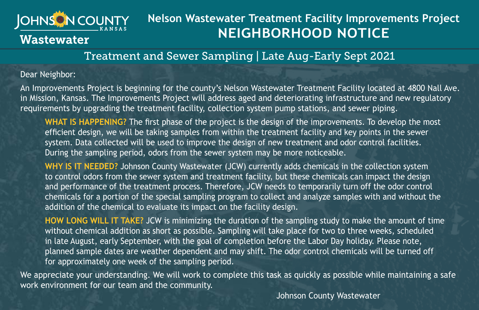

## **Nelson Wastewater Treatment Facility Improvements Project NEIGHBORHOOD NOTICE**

## Treatment and Sewer Sampling | Late Aug-Early Sept 2021

## Dear Neighbor:

An Improvements Project is beginning for the county's Nelson Wastewater Treatment Facility located at 4800 Nall Ave. in Mission, Kansas. The Improvements Project will address aged and deteriorating infrastructure and new regulatory requirements by upgrading the treatment facility, collection system pump stations, and sewer piping.

**WHAT IS HAPPENING?** The first phase of the project is the design of the improvements. To develop the most efficient design, we will be taking samples from within the treatment facility and key points in the sewer system. Data collected will be used to improve the design of new treatment and odor control facilities. During the sampling period, odors from the sewer system may be more noticeable.

**WHY IS IT NEEDED?** Johnson County Wastewater (JCW) currently adds chemicals in the collection system to control odors from the sewer system and treatment facility, but these chemicals can impact the design and performance of the treatment process. Therefore, JCW needs to temporarily turn off the odor control chemicals for a portion of the special sampling program to collect and analyze samples with and without the addition of the chemical to evaluate its impact on the facility design.

**HOW LONG WILL IT TAKE?** JCW is minimizing the duration of the sampling study to make the amount of time without chemical addition as short as possible. Sampling will take place for two to three weeks, scheduled in late August, early September, with the goal of completion before the Labor Day holiday. Please note, planned sample dates are weather dependent and may shift. The odor control chemicals will be turned off for approximately one week of the sampling period.

We appreciate your understanding. We will work to complete this task as quickly as possible while maintaining a safe work environment for our team and the community.

Johnson County Wastewater